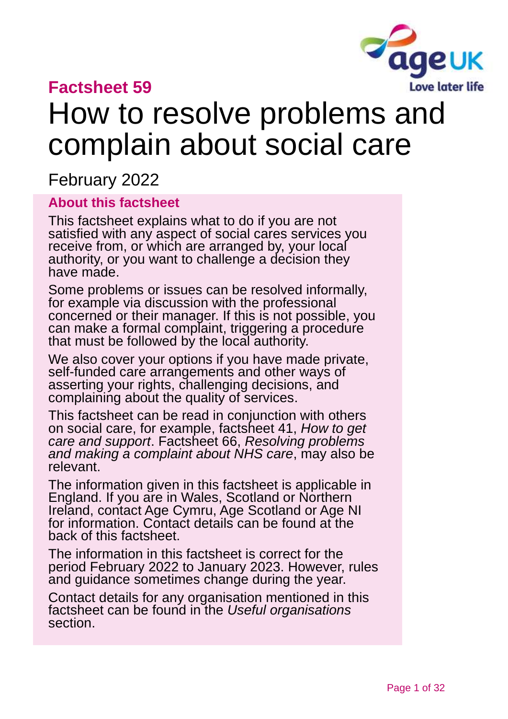

### **Factsheet 59**

# How to resolve problems and complain about social care

February 2022

#### **About this factsheet**

This factsheet explains what to do if you are not satisfied with any aspect of social cares services you receive from, or which are arranged by, your local authority, or you want to challenge a decision they have made.

Some problems or issues can be resolved informally, for example via discussion with the professional concerned or their manager. If this is not possible, you can make a formal complaint, triggering a procedure that must be followed by the local authority.

We also cover your options if you have made private, self-funded care arrangements and other ways of asserting your rights, challenging decisions, and complaining about the quality of services.

This factsheet can be read in conjunction with others on social care, for example, factsheet 41, *[How to get](https://www.ageuk.org.uk/globalassets/age-uk/documents/factsheets/fs41_how_to_get_care_and_support_fcs.pdf)  [care and support](https://www.ageuk.org.uk/globalassets/age-uk/documents/factsheets/fs41_how_to_get_care_and_support_fcs.pdf)*. Factsheet 66, *[Resolving problems](https://www.ageuk.org.uk/globalassets/age-uk/documents/factsheets/fs66_resolving_problems_and_making_a_complaint_about_nhs_care_fcs.pdf)  [and making a complaint about NHS care](https://www.ageuk.org.uk/globalassets/age-uk/documents/factsheets/fs66_resolving_problems_and_making_a_complaint_about_nhs_care_fcs.pdf)*, may also be relevant.

The information given in this factsheet is applicable in England. If you are in Wales, Scotland or Northern Ireland, contact Age Cymru, Age [Scotland or Age NI](#page-30-0) for information. Contact details can be found at the back of this factsheet.

The information in this factsheet is correct for the period February 2022 to January 2023. However, rules and guidance sometimes change during the year.

Contact details for any organisation mentioned in this factsheet can be found in the *[Useful organisations](#page-28-0)* section.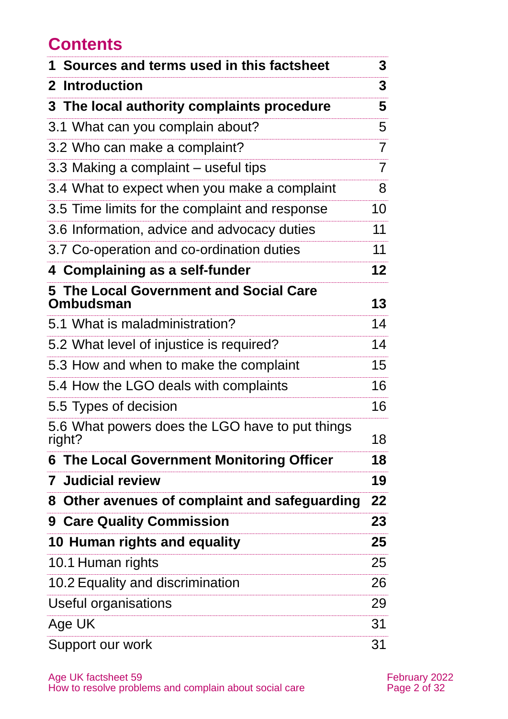### **Contents**

| 1 Sources and terms used in this factsheet                | 3               |
|-----------------------------------------------------------|-----------------|
| 2 Introduction                                            | 3               |
| 3 The local authority complaints procedure                | 5               |
| 3.1 What can you complain about?                          | 5               |
| 3.2 Who can make a complaint?                             | $\overline{7}$  |
| 3.3 Making a complaint – useful tips                      | $\overline{7}$  |
| 3.4 What to expect when you make a complaint              | 8               |
| 3.5 Time limits for the complaint and response            | 10              |
| 3.6 Information, advice and advocacy duties               | 11              |
| 3.7 Co-operation and co-ordination duties                 | 11              |
| 4 Complaining as a self-funder                            | 12 <sub>2</sub> |
| 5 The Local Government and Social Care<br>Ombudsman       | 13              |
| 5.1 What is maladministration?                            | 14              |
| 5.2 What level of injustice is required?                  | 14              |
| 5.3 How and when to make the complaint                    | 15              |
| 5.4 How the LGO deals with complaints                     | 16              |
| 5.5 Types of decision                                     | 16              |
| 5.6 What powers does the LGO have to put things<br>right? | 18              |
| <b>6 The Local Government Monitoring Officer</b>          | 18              |
| <b>7 Judicial review</b>                                  | 19              |
| 8 Other avenues of complaint and safeguarding             | 22              |
| <b>9 Care Quality Commission</b>                          | 23              |
| 10 Human rights and equality                              | 25              |
| 10.1 Human rights                                         | 25              |
| 10.2 Equality and discrimination                          | 26              |
| Useful organisations                                      | 29              |
| Age UK                                                    | 31              |
| Support our work                                          | 31              |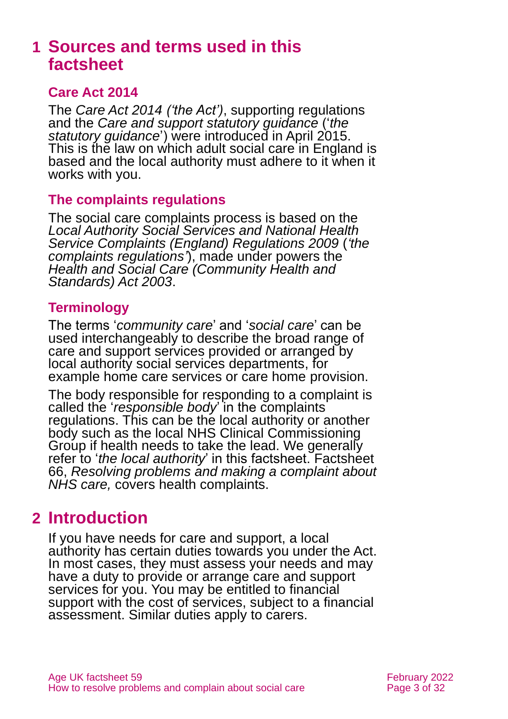### <span id="page-2-0"></span>**1 Sources and terms used in this factsheet**

#### **Care Act 2014**

The *[Care Act 2014](http://www.legislation.gov.uk/ukpga/2014/23/contents) ('the Act')*, supporting regulations and the *[Care and support statutory guidance](https://www.gov.uk/government/publications/care-act-statutory-guidance/care-and-support-statutory-guidance)* ('*the statutory guidance*') were introduced in April 2015. This is the law on which adult social care in England is based and the local authority must adhere to it when it works with you.

#### **The complaints regulations**

The social care complaints process is based on the *[Local Authority Social Services and](http://www.legislation.gov.uk/uksi/2009/309/contents/made) National Health [Service Complaints \(England\) Regulations 2009](http://www.legislation.gov.uk/uksi/2009/309/contents/made)* (*'the complaints regulations'*), made under powers the *[Health and Social Care \(Community Health and](http://www.legislation.gov.uk/ukpga/2003/43/contents)  [Standards\) Act 2003](http://www.legislation.gov.uk/ukpga/2003/43/contents)*.

#### **Terminology**

The terms '*community care*' and '*social care*' can be used interchangeably to describe the broad range of care and support services provided or arranged by local authority social services departments, for example home care services or care home provision.

The body responsible for responding to a complaint is called the '*responsible body*' in the complaints regulations. This can be the local authority or another body such as the local NHS Clinical Commissioning Group if health needs to take the lead. We generally refer to '*the local authority*' in this factsheet. Factsheet 66, *[Resolving problems and making a complaint about](https://www.ageuk.org.uk/globalassets/age-uk/documents/factsheets/fs66_resolving_problems_and_making_a_complaint_about_nhs_care_fcs.pdf)  [NHS care,](https://www.ageuk.org.uk/globalassets/age-uk/documents/factsheets/fs66_resolving_problems_and_making_a_complaint_about_nhs_care_fcs.pdf)* covers health complaints.

### <span id="page-2-1"></span>**2 Introduction**

If you have needs for care and support, a local authority has certain duties towards you under the Act. In most cases, they must assess your needs and may have a duty to provide or arrange care and support services for you. You may be entitled to financial support with the cost of services, subject to a financial assessment. Similar duties apply to carers.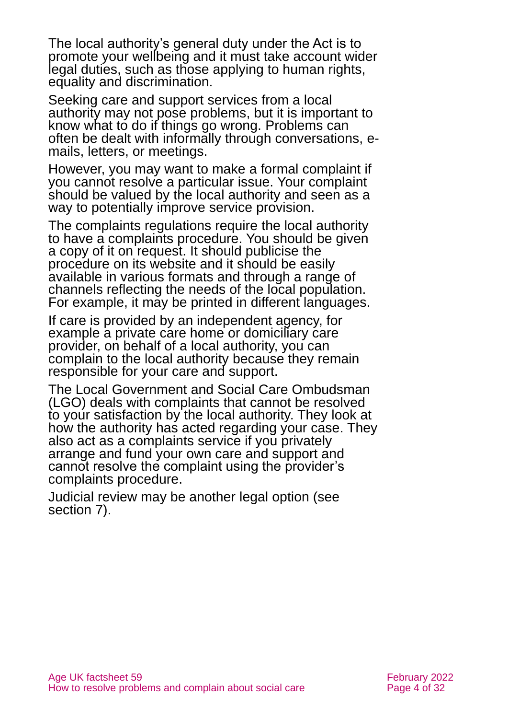The local authority's general duty under the Act is to promote your wellbeing and it must take account wider legal duties, such as those applying to human rights, equality and discrimination.

Seeking care and support services from a local authority may not pose problems, but it is important to know what to do if things go wrong. Problems can often be dealt with informally through conversations, emails, letters, or meetings.

However, you may want to make a formal complaint if you cannot resolve a particular issue. Your complaint should be valued by the local authority and seen as a way to potentially improve service provision.

The complaints regulations require the local authority to have a complaints procedure. You should be given a copy of it on request. It should publicise the procedure on its website and it should be easily available in various formats and through a range of channels reflecting the needs of the local population. For example, it may be printed in different languages.

If care is provided by an independent agency, for example a private care home or domiciliary care provider, on behalf of a local authority, you can complain to the local authority because they remain responsible for your care and support.

The Local Government and Social Care Ombudsman (LGO) deals with complaints that cannot be resolved to your satisfaction by the local authority. They look at how the authority has acted regarding your case. They also act as a complaints service if you privately arrange and fund your own care and support and cannot resolve the complaint using the provider's complaints procedure.

Judicial review may be another legal option (see [section 7\)](#page-18-0).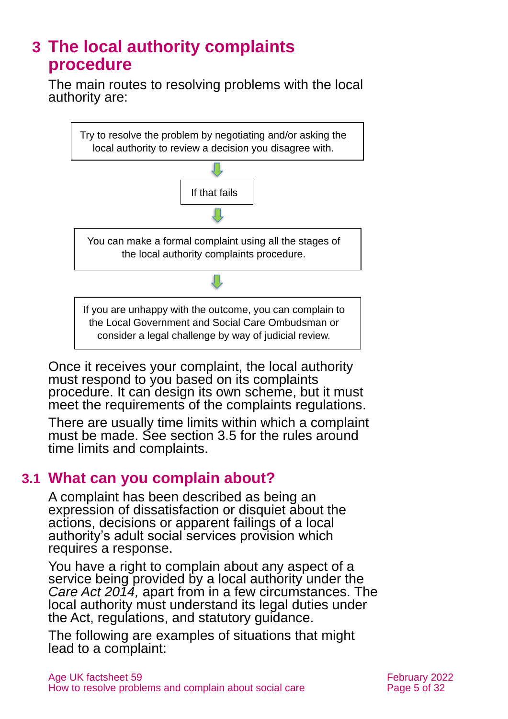### <span id="page-4-0"></span>**3 The local authority complaints procedure**

The main routes to resolving problems with the local authority are:



Once it receives your complaint, the local authority must respond to you based on its complaints procedure. It can design its own scheme, but it must meet the requirements of the complaints regulations.

There are usually time limits within which a complaint must be made. See [section 3.5](#page-9-0) for the rules around time limits and complaints.

#### **3.1 What can you complain about?**

A complaint has been described as being an expression of dissatisfaction or disquiet about the actions, decisions or apparent failings of a local authority's adult social services provision which requires a response.

You have a right to complain about any aspect of a service being provided by a local authority under the *Care Act 2014,* apart from in a few circumstances. The local authority must understand its legal duties under the Act, regulations, and statutory guidance.

The following are examples of situations that might lead to a complaint: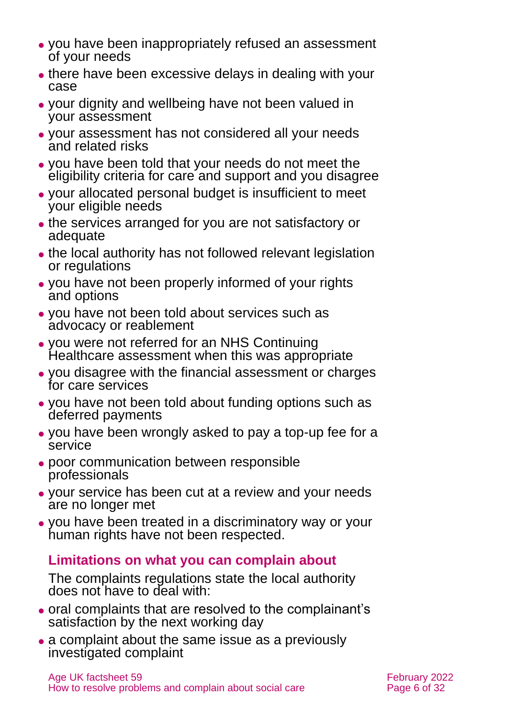- ⚫ you have been inappropriately refused an assessment of your needs
- there have been excessive delays in dealing with your case
- ⚫ your dignity and wellbeing have not been valued in your assessment
- ⚫ your assessment has not considered all your needs and related risks
- ⚫ you have been told that your needs do not meet the eligibility criteria for care and support and you disagree
- ⚫ your allocated personal budget is insufficient to meet your eligible needs
- ⚫ the services arranged for you are not satisfactory or adequate
- ⚫ the local authority has not followed relevant legislation or regulations
- ⚫ you have not been properly informed of your rights and options
- ⚫ you have not been told about services such as advocacy or reablement
- ⚫ you were not referred for an NHS Continuing Healthcare assessment when this was appropriate
- ⚫ you disagree with the financial assessment or charges for care services
- ⚫ you have not been told about funding options such as deferred payments
- ⚫ you have been wrongly asked to pay a top-up fee for a service
- ⚫ poor communication between responsible professionals
- ⚫ your service has been cut at a review and your needs are no longer met
- ⚫ you have been treated in a discriminatory way or your human rights have not been respected.

#### **Limitations on what you can complain about**

The complaints regulations state the local authority does not have to deal with:

- ⚫ oral complaints that are resolved to the complainant's satisfaction by the next working day
- a complaint about the same issue as a previously investigated complaint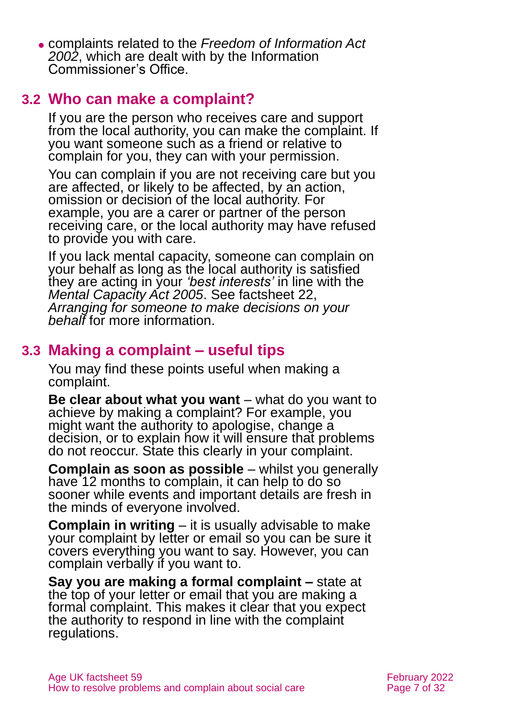⚫ complaints related to the *[Freedom of Information Act](https://www.legislation.gov.uk/ukpga/2000/36/contents)  [2002](https://www.legislation.gov.uk/ukpga/2000/36/contents)*, which are dealt with by the Information Commissioner's Office.

### **3.2 Who can make a complaint?**

If you are the person who receives care and support from the local authority, you can make the complaint. If you want someone such as a friend or relative to complain for you, they can with your permission.

You can complain if you are not receiving care but you are affected, or likely to be affected, by an action, omission or decision of the local authority. For example, you are a carer or partner of the person receiving care, or the local authority may have refused to provide you with care.

If you lack mental capacity, someone can complain on your behalf as long as the local authority is satisfied they are acting in your *'best interests'* in line with the *Mental Capacity Act 2005*. See factsheet 22, *[Arranging for someone to make decisions on your](https://www.ageuk.org.uk/globalassets/age-uk/documents/factsheets/fs22_arranging_for_someone_to_make_decisions_on_your_behalf_fcs.pdf)  [behalf](https://www.ageuk.org.uk/globalassets/age-uk/documents/factsheets/fs22_arranging_for_someone_to_make_decisions_on_your_behalf_fcs.pdf)* for more information.

### **3.3 Making a complaint – useful tips**

You may find these points useful when making a complaint.

**Be clear about what you want** – what do you want to achieve by making a complaint? For example, you might want the authority to apologise, change a decision, or to explain how it will ensure that problems do not reoccur. State this clearly in your complaint.

**Complain as soon as possible** – whilst you generally have 12 months to complain, it can help to do so sooner while events and important details are fresh in the minds of everyone involved.

**Complain in writing** – it is usually advisable to make your complaint by letter or email so you can be sure it covers everything you want to say. However, you can complain verbally if you want to.

**Say you are making a formal complaint –** state at the top of your letter or email that you are making a formal complaint. This makes it clear that you expect the authority to respond in line with the complaint regulations.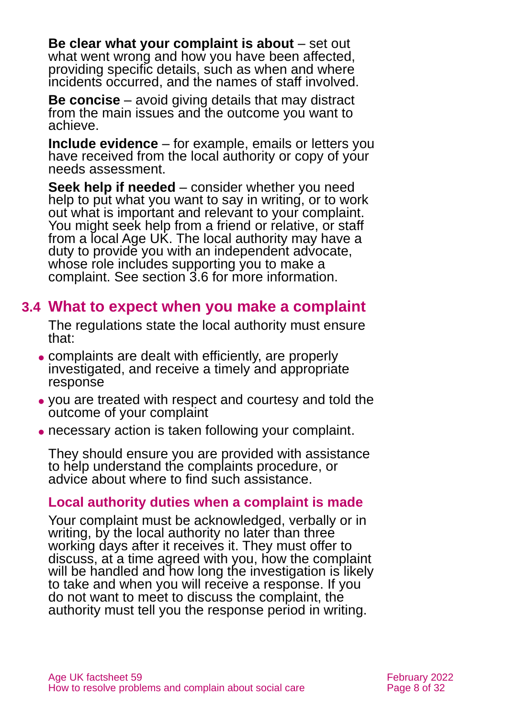**Be clear what your complaint is about** – set out what went wrong and how you have been affected, providing specific details, such as when and where incidents occurred, and the names of staff involved.

**Be concise** – avoid giving details that may distract from the main issues and the outcome you want to achieve.

**Include evidence** – for example, emails or letters you have received from the local authority or copy of your needs assessment.

**Seek help if needed** – consider whether you need help to put what you want to say in writing, or to work out what is important and relevant to your complaint. You might seek help from a friend or relative, or staff from a local Age UK. The local authority may have a duty to provide you with an independent advocate, whose role includes supporting you to make a complaint. See [section 3.6](#page-10-0) for more information.

### **3.4 What to expect when you make a complaint**

The regulations state the local authority must ensure that:

- ⚫ complaints are dealt with efficiently, are properly investigated, and receive a timely and appropriate response
- ⚫ you are treated with respect and courtesy and told the outcome of your complaint
- ⚫ necessary action is taken following your complaint.

They should ensure you are provided with assistance to help understand the complaints procedure, or advice about where to find such assistance.

#### **Local authority duties when a complaint is made**

Your complaint must be acknowledged, verbally or in writing, by the local authority no later than three working days after it receives it. They must offer to discuss, at a time agreed with you, how the complaint will be handled and how long the investigation is likely to take and when you will receive a response. If you do not want to meet to discuss the complaint, the authority must tell you the response period in writing.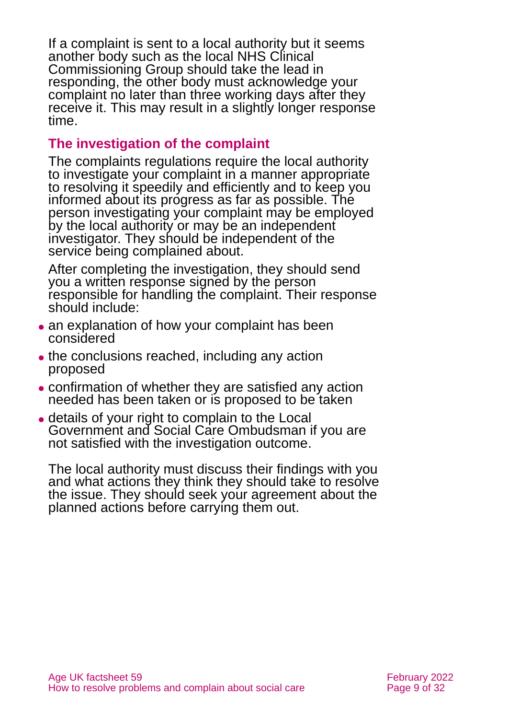If a complaint is sent to a local authority but it seems another body such as the local NHS Clinical Commissioning Group should take the lead in responding, the other body must acknowledge your complaint no later than three working days after they receive it. This may result in a slightly longer response time.

#### **The investigation of the complaint**

The complaints regulations require the local authority to investigate your complaint in a manner appropriate to resolving it speedily and efficiently and to keep you informed about its progress as far as possible. The person investigating your complaint may be employed by the local authority or may be an independent investigator. They should be independent of the service being complained about.

After completing the investigation, they should send you a written response signed by the person responsible for handling the complaint. Their response should include:

- an explanation of how your complaint has been considered
- the conclusions reached, including any action proposed
- ⚫ confirmation of whether they are satisfied any action needed has been taken or is proposed to be taken
- ⚫ details of your right to complain to the Local Government and Social Care Ombudsman if you are not satisfied with the investigation outcome.

The local authority must discuss their findings with you and what actions they think they should take to resolve the issue. They should seek your agreement about the planned actions before carrying them out.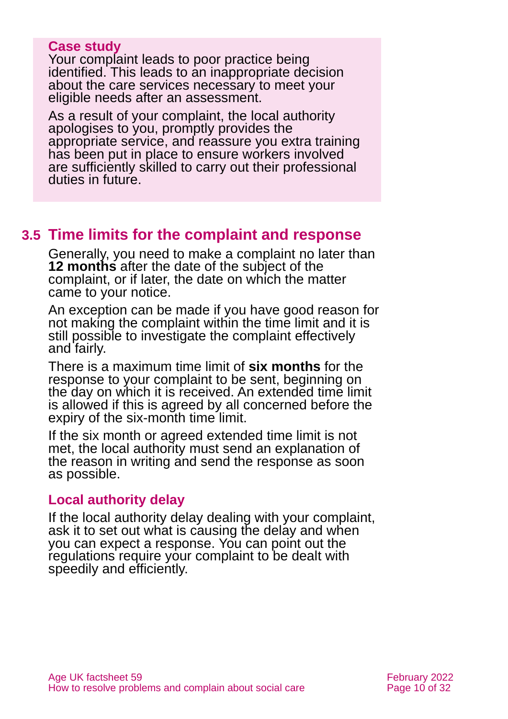#### **Case study**

Your complaint leads to poor practice being identified. This leads to an inappropriate decision about the care services necessary to meet your eligible needs after an assessment.

As a result of your complaint, the local authority apologises to you, promptly provides the appropriate service, and reassure you extra training has been put in place to ensure workers involved are sufficiently skilled to carry out their professional duties in future.

#### <span id="page-9-0"></span>**3.5 Time limits for the complaint and response**

Generally, you need to make a complaint no later than **12 months** after the date of the subject of the complaint, or if later, the date on which the matter came to your notice.

An exception can be made if you have good reason for not making the complaint within the time limit and it is still possible to investigate the complaint effectively and fairly.

There is a maximum time limit of **six months** for the response to your complaint to be sent, beginning on the day on which it is received. An extended time limit is allowed if this is agreed by all concerned before the expiry of the six-month time limit.

If the six month or agreed extended time limit is not met, the local authority must send an explanation of the reason in writing and send the response as soon as possible.

#### **Local authority delay**

If the local authority delay dealing with your complaint, ask it to set out what is causing the delay and when you can expect a response. You can point out the regulations require your complaint to be dealt with speedily and efficiently.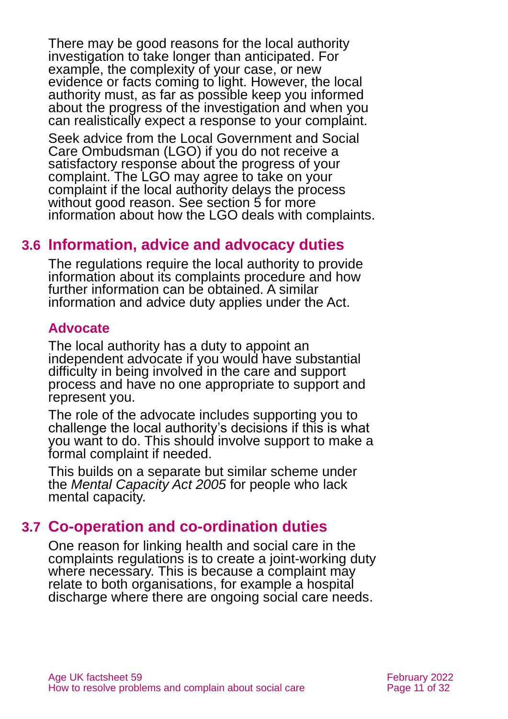There may be good reasons for the local authority investigation to take longer than anticipated. For example, the complexity of your case, or new evidence or facts coming to light. However, the local authority must, as far as possible keep you informed about the progress of the investigation and when you can realistically expect a response to your complaint.

Seek advice from the Local Government and Social Care Ombudsman (LGO) if you do not receive a satisfactory response about the progress of your complaint. The LGO may agree to take on your complaint if the local authority delays the process without good reason. See section 5 for more information about how the LGO deals with complaints.

#### <span id="page-10-0"></span>**3.6 Information, advice and advocacy duties**

The regulations require the local authority to provide information about its complaints procedure and how further information can be obtained. A similar information and advice duty applies under the Act.

#### **Advocate**

The local authority has a duty to appoint an independent advocate if you would have substantial difficulty in being involved in the care and support process and have no one appropriate to support and represent you.

The role of the advocate includes supporting you to challenge the local authority's decisions if this is what you want to do. This should involve support to make a formal complaint if needed.

This builds on a separate but similar scheme under the *[Mental Capacity Act 2005](https://www.legislation.gov.uk/ukpga/2005/9/contents)* for people who lack mental capacity.

#### **3.7 Co-operation and co-ordination duties**

One reason for linking health and social care in the complaints regulations is to create a joint-working duty where necessary. This is because a complaint may relate to both organisations, for example a hospital discharge where there are ongoing social care needs.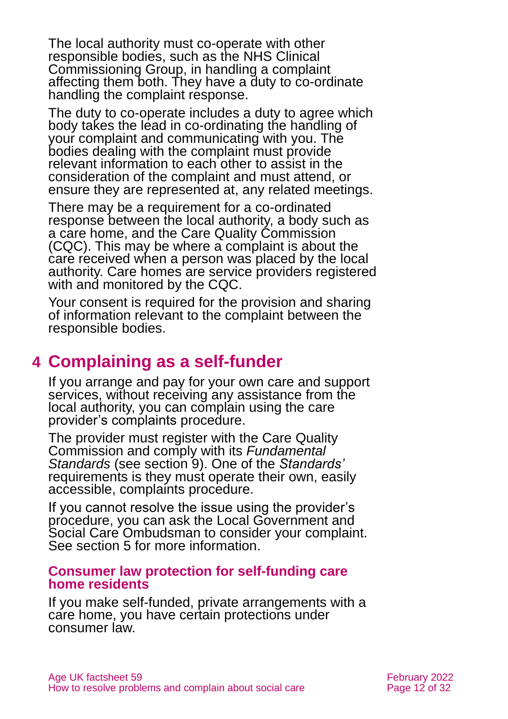The local authority must co-operate with other responsible bodies, such as the NHS Clinical Commissioning Group, in handling a complaint affecting them both. They have a duty to co-ordinate handling the complaint response.

The duty to co-operate includes a duty to agree which body takes the lead in co-ordinating the handling of your complaint and communicating with you. The bodies dealing with the complaint must provide relevant information to each other to assist in the consideration of the complaint and must attend, or ensure they are represented at, any related meetings.

There may be a requirement for a co-ordinated response between the local authority, a body such as a care home, and the Care Quality Commission (CQC). This may be where a complaint is about the care received when a person was placed by the local authority. Care homes are service providers registered with and monitored by the CQC.

Your consent is required for the provision and sharing of information relevant to the complaint between the responsible bodies.

### <span id="page-11-0"></span>**4 Complaining as a self-funder**

If you arrange and pay for your own care and support services, without receiving any assistance from the local authority, you can complain using the care provider's complaints procedure.

The provider must register with the Care Quality Commission and comply with its *Fundamental Standards* (see [section 9\)](#page-22-0). One of the *Standards'*  requirements is they must operate their own, easily accessible, complaints procedure.

If you cannot resolve the issue using the provider's procedure, you can ask the Local Government and Social Care Ombudsman to consider your complaint. See [section 5](#page-12-0) for more information.

#### **Consumer law protection for self-funding care home residents**

If you make self-funded, private arrangements with a care home, you have certain protections under consumer law.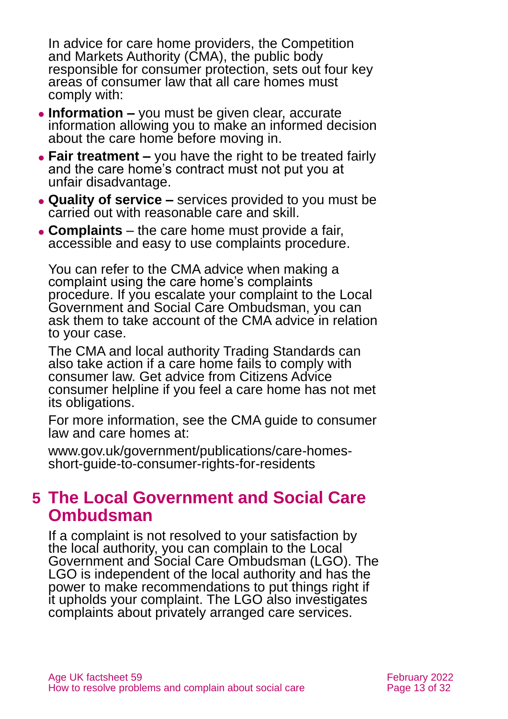In advice for care home providers, the Competition and Markets Authority (CMA), the public body responsible for consumer protection, sets out four key areas of consumer law that all care homes must comply with:

- ⚫ **Information –** you must be given clear, accurate information allowing you to make an informed decision about the care home before moving in.
- ⚫ **Fair treatment –** you have the right to be treated fairly and the care home's contract must not put you at unfair disadvantage.
- ⚫ **Quality of service –** services provided to you must be carried out with reasonable care and skill.
- ⚫ **Complaints**  the care home must provide a fair, accessible and easy to use complaints procedure.

You can refer to the CMA advice when making a complaint using the care home's complaints procedure. If you escalate your complaint to the Local Government and Social Care Ombudsman, you can ask them to take account of the CMA advice in relation to your case.

The CMA and local authority Trading Standards can also take action if a care home fails to comply with consumer law. Get advice from Citizens Advice consumer helpline if you feel a care home has not met its obligations.

For more information, see the CMA guide to consumer law and care homes at:

[www.gov.uk/government/publications/care-homes](http://www.gov.uk/government/publications/care-homes-short-guide-to-consumer-rights-for-residents)[short-guide-to-consumer-rights-for-residents](http://www.gov.uk/government/publications/care-homes-short-guide-to-consumer-rights-for-residents) 

### <span id="page-12-0"></span>**5 The Local Government and Social Care Ombudsman**

If a complaint is not resolved to your satisfaction by the local authority, you can complain to the Local Government and Social Care Ombudsman (LGO). The LGO is independent of the local authority and has the power to make recommendations to put things right if it upholds your complaint. The LGO also investigates complaints about privately arranged care services.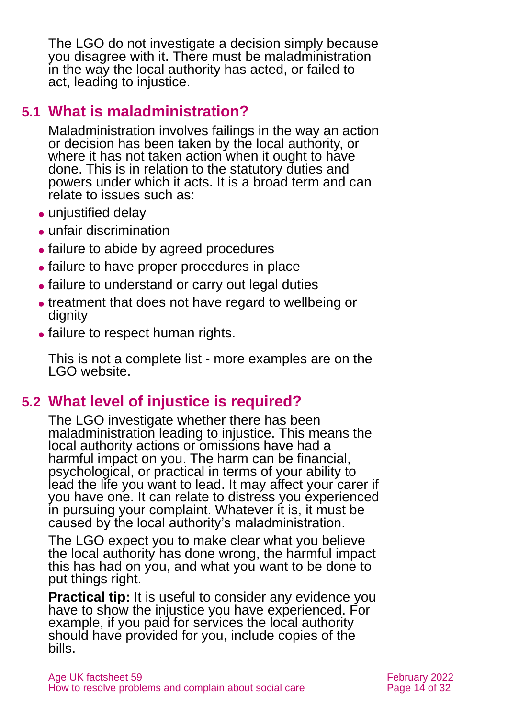The LGO do not investigate a decision simply because you disagree with it. There must be maladministration in the way the local authority has acted, or failed to act, leading to injustice.

### **5.1 What is maladministration?**

Maladministration involves failings in the way an action or decision has been taken by the local authority, or where it has not taken action when it ought to have done. This is in relation to the statutory duties and powers under which it acts. It is a broad term and can relate to issues such as:

- unjustified delay
- ⚫ unfair discrimination
- ⚫ failure to abide by agreed procedures
- ⚫ failure to have proper procedures in place
- failure to understand or carry out legal duties
- ⚫ treatment that does not have regard to wellbeing or dignity
- failure to respect human rights.

This is not a complete list - more examples are on the LGO website.

### **5.2 What level of injustice is required?**

The LGO investigate whether there has been maladministration leading to injustice. This means the local authority actions or omissions have had a harmful impact on you. The harm can be financial, psychological, or practical in terms of your ability to lead the life you want to lead. It may affect your carer if you have one. It can relate to distress you experienced in pursuing your complaint. Whatever it is, it must be caused by the local authority's maladministration.

The LGO expect you to make clear what you believe the local authority has done wrong, the harmful impact this has had on you, and what you want to be done to put things right.

**Practical tip:** It is useful to consider any evidence you have to show the injustice you have experienced. For example, if you paid for services the local authority should have provided for you, include copies of the bills.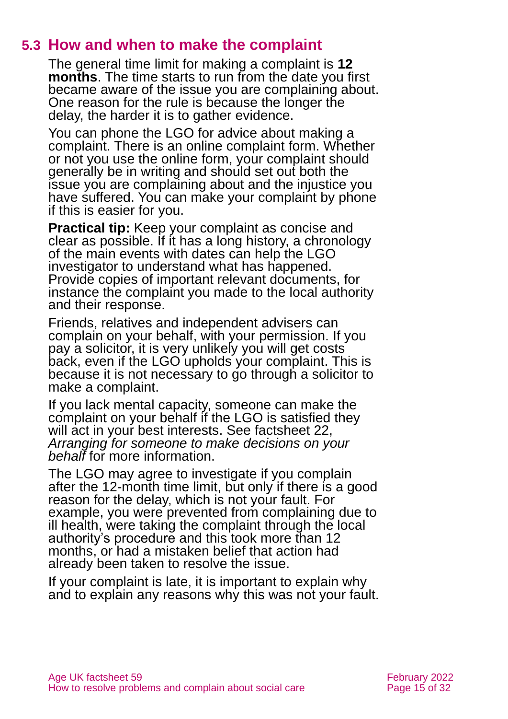#### **5.3 How and when to make the complaint**

The general time limit for making a complaint is **12 months**. The time starts to run from the date you first became aware of the issue you are complaining about. One reason for the rule is because the longer the delay, the harder it is to gather evidence.

You can phone the LGO for advice about making a complaint. There is an online complaint form. Whether or not you use the online form, your complaint should generally be in writing and should set out both the issue you are complaining about and the injustice you have suffered. You can make your complaint by phone if this is easier for you.

**Practical tip:** Keep your complaint as concise and clear as possible. If it has a long history, a chronology of the main events with dates can help the LGO investigator to understand what has happened. Provide copies of important relevant documents, for instance the complaint you made to the local authority and their response.

Friends, relatives and independent advisers can complain on your behalf, with your permission. If you pay a solicitor, it is very unlikely you will get costs back, even if the LGO upholds your complaint. This is because it is not necessary to go through a solicitor to make a complaint.

If you lack mental capacity, someone can make the complaint on your behalf if the LGO is satisfied they will act in your best interests. See factsheet 22, *[Arranging for someone to make decisions on your](https://www.ageuk.org.uk/globalassets/age-uk/documents/factsheets/fs22_arranging_for_someone_to_make_decisions_on_your_behalf_fcs.pdf)  [behalf](https://www.ageuk.org.uk/globalassets/age-uk/documents/factsheets/fs22_arranging_for_someone_to_make_decisions_on_your_behalf_fcs.pdf)* for more information.

The LGO may agree to investigate if you complain after the 12-month time limit, but only if there is a good reason for the delay, which is not your fault. For example, you were prevented from complaining due to ill health, were taking the complaint through the local authority's procedure and this took more than 12 months, or had a mistaken belief that action had already been taken to resolve the issue.

If your complaint is late, it is important to explain why and to explain any reasons why this was not your fault.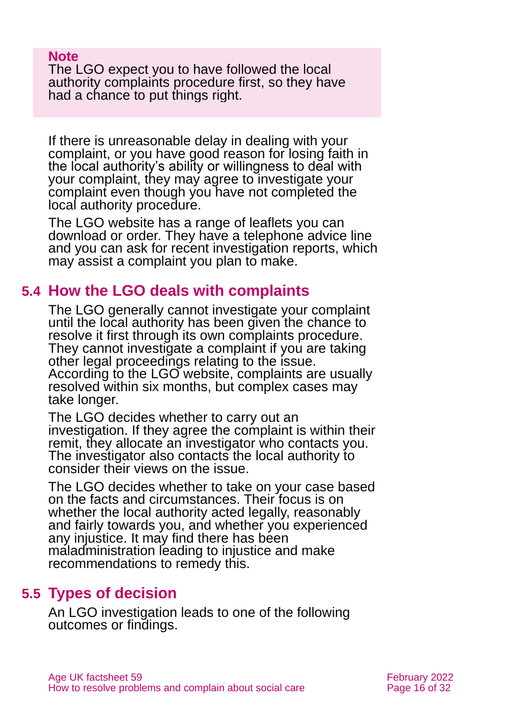#### **Note**

The LGO expect you to have followed the local authority complaints procedure first, so they have had a chance to put things right.

If there is unreasonable delay in dealing with your complaint, or you have good reason for losing faith in the local authority's ability or willingness to deal with your complaint, they may agree to investigate your complaint even though you have not completed the local authority procedure.

The LGO website has a range of leaflets you can download or order. They have a telephone advice line and you can ask for recent investigation reports, which may assist a complaint you plan to make.

#### **5.4 How the LGO deals with complaints**

The LGO generally cannot investigate your complaint until the local authority has been given the chance to resolve it first through its own complaints procedure. They cannot investigate a complaint if you are taking other legal proceedings relating to the issue. According to the LGO website, complaints are usually resolved within six months, but complex cases may take longer.

The LGO decides whether to carry out an investigation. If they agree the complaint is within their remit, they allocate an investigator who contacts you. The investigator also contacts the local authority to consider their views on the issue.

The LGO decides whether to take on your case based on the facts and circumstances. Their focus is on whether the local authority acted legally, reasonably and fairly towards you, and whether you experienced any injustice. It may find there has been maladministration leading to injustice and make recommendations to remedy this.

#### **5.5 Types of decision**

An LGO investigation leads to one of the following outcomes or findings.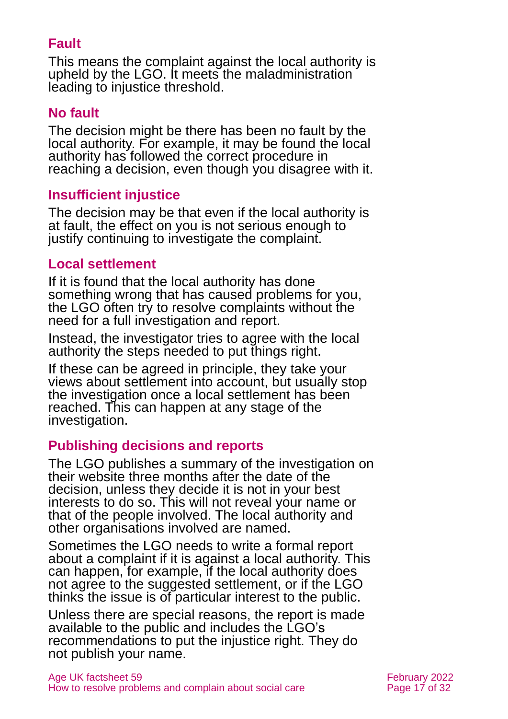#### **Fault**

This means the complaint against the local authority is upheld by the LGO. It meets the maladministration leading to injustice threshold.

#### **No fault**

The decision might be there has been no fault by the local authority. For example, it may be found the local authority has followed the correct procedure in reaching a decision, even though you disagree with it.

#### **Insufficient injustice**

The decision may be that even if the local authority is at fault, the effect on you is not serious enough to justify continuing to investigate the complaint.

#### **Local settlement**

If it is found that the local authority has done something wrong that has caused problems for you, the LGO often try to resolve complaints without the need for a full investigation and report.

Instead, the investigator tries to agree with the local authority the steps needed to put things right.

If these can be agreed in principle, they take your views about settlement into account, but usually stop the investigation once a local settlement has been reached. This can happen at any stage of the investigation.

#### **Publishing decisions and reports**

The LGO publishes a summary of the investigation on their website three months after the date of the decision, unless they decide it is not in your best interests to do so. This will not reveal your name or that of the people involved. The local authority and other organisations involved are named.

Sometimes the LGO needs to write a formal report about a complaint if it is against a local authority. This can happen, for example, if the local authority does not agree to the suggested settlement, or if the LGO thinks the issue is of particular interest to the public.

Unless there are special reasons, the report is made available to the public and includes the LGO's recommendations to put the injustice right. They do not publish your name.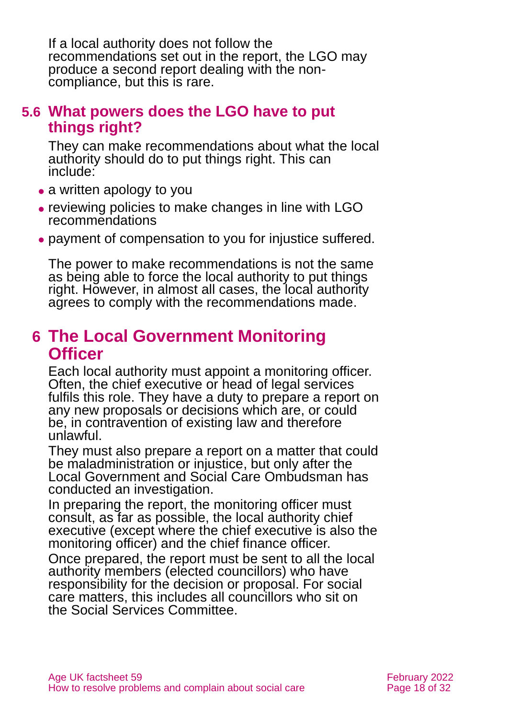If a local authority does not follow the recommendations set out in the report, the LGO may produce a second report dealing with the noncompliance, but this is rare.

#### **5.6 What powers does the LGO have to put things right?**

They can make recommendations about what the local authority should do to put things right. This can include:

- a written apology to you
- ⚫ reviewing policies to make changes in line with LGO recommendations
- ⚫ payment of compensation to you for injustice suffered.

The power to make recommendations is not the same as being able to force the local authority to put things right. However, in almost all cases, the local authority agrees to comply with the recommendations made.

### <span id="page-17-0"></span>**6 The Local Government Monitoring Officer**

Each local authority must appoint a monitoring officer. Often, the chief executive or head of legal services fulfils this role. They have a duty to prepare a report on any new proposals or decisions which are, or could be, in contravention of existing law and therefore unlawful.

They must also prepare a report on a matter that could be maladministration or injustice, but only after the Local Government and Social Care Ombudsman has conducted an investigation.

In preparing the report, the monitoring officer must consult, as far as possible, the local authority chief executive (except where the chief executive is also the monitoring officer) and the chief finance officer.

Once prepared, the report must be sent to all the local authority members (elected councillors) who have responsibility for the decision or proposal. For social care matters, this includes all councillors who sit on the Social Services Committee.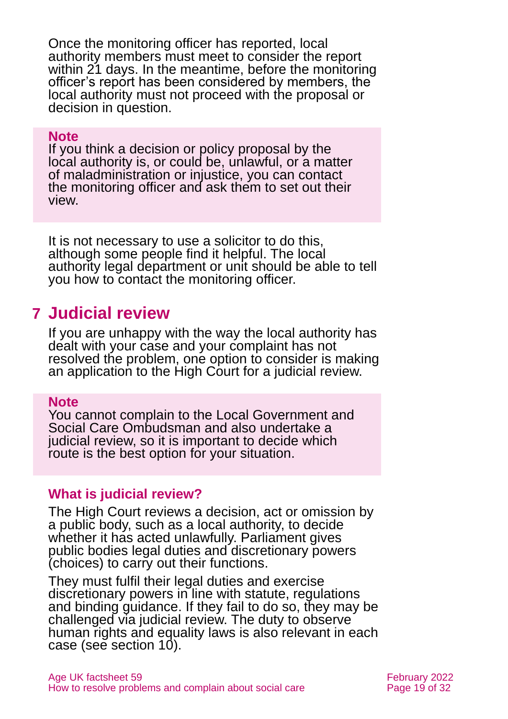Once the monitoring officer has reported, local authority members must meet to consider the report within 21 days. In the meantime, before the monitoring officer's report has been considered by members, the local authority must not proceed with the proposal or decision in question.

#### **Note**

If you think a decision or policy proposal by the local authority is, or could be, unlawful, or a matter of maladministration or injustice, you can contact the monitoring officer and ask them to set out their view.

It is not necessary to use a solicitor to do this, although some people find it helpful. The local authority legal department or unit should be able to tell you how to contact the monitoring officer.

### <span id="page-18-0"></span>**7 Judicial review**

If you are unhappy with the way the local authority has dealt with your case and your complaint has not resolved the problem, one option to consider is making an application to the High Court for a judicial review.

#### **Note**

You cannot complain to the Local Government and Social Care Ombudsman and also undertake a judicial review, so it is important to decide which route is the best option for your situation.

#### **What is judicial review?**

The High Court reviews a decision, act or omission by a public body, such as a local authority, to decide whether it has acted unlawfully. Parliament gives public bodies legal duties and discretionary powers (choices) to carry out their functions.

They must fulfil their legal duties and exercise discretionary powers in line with statute, regulations and binding guidance. If they fail to do so, they may be challenged via judicial review. The duty to observe human rights and equality laws is also relevant in each case (see [section 10\)](#page-24-0).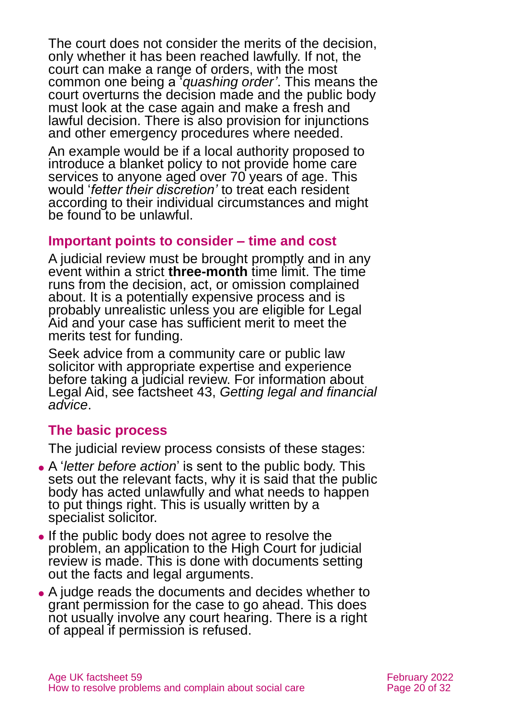The court does not consider the merits of the decision, only whether it has been reached lawfully. If not, the court can make a range of orders, with the most common one being a '*quashing order'*. This means the court overturns the decision made and the public body must look at the case again and make a fresh and lawful decision. There is also provision for injunctions and other emergency procedures where needed.

An example would be if a local authority proposed to introduce a blanket policy to not provide home care services to anyone aged over 70 years of age. This would '*fetter their discretion'* to treat each resident according to their individual circumstances and might be found to be unlawful.

#### **Important points to consider – time and cost**

A judicial review must be brought promptly and in any event within a strict **three-month** time limit. The time runs from the decision, act, or omission complained about. It is a potentially expensive process and is probably unrealistic unless you are eligible for Legal Aid and your case has sufficient merit to meet the merits test for funding.

Seek advice from a community care or public law solicitor with appropriate expertise and experience before taking a judicial review. For information about Legal Aid, see factsheet 43, *[Getting legal and financial](https://www.ageuk.org.uk/globalassets/age-uk/documents/factsheets/fs43-getting-legal-and-financial-advice.pdf)  [advice](https://www.ageuk.org.uk/globalassets/age-uk/documents/factsheets/fs43-getting-legal-and-financial-advice.pdf)*.

#### **The basic process**

The judicial review process consists of these stages:

- ⚫ A '*letter before action*' is sent to the public body. This sets out the relevant facts, why it is said that the public body has acted unlawfully and what needs to happen to put things right. This is usually written by a specialist solicitor.
- ⚫ If the public body does not agree to resolve the problem, an application to the High Court for judicial review is made. This is done with documents setting out the facts and legal arguments.
- ⚫ A judge reads the documents and decides whether to grant permission for the case to go ahead. This does not usually involve any court hearing. There is a right of appeal if permission is refused.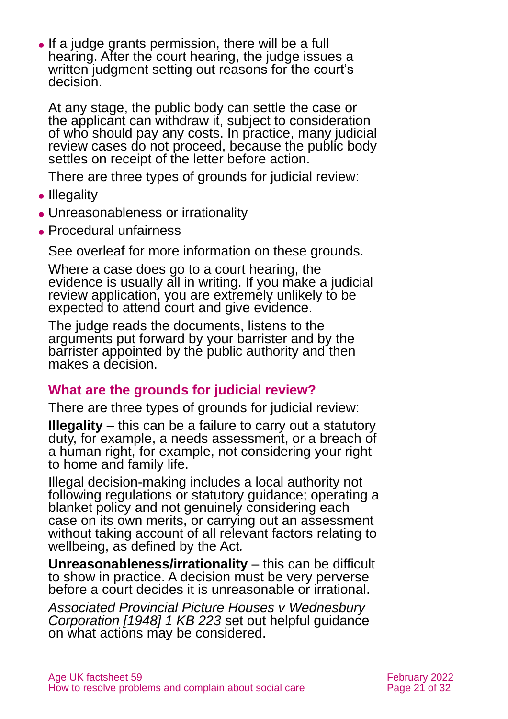• If a judge grants permission, there will be a full hearing. After the court hearing, the judge issues a written judgment setting out reasons for the court's decision.

At any stage, the public body can settle the case or the applicant can withdraw it, subject to consideration of who should pay any costs. In practice, many judicial review cases do not proceed, because the public body settles on receipt of the letter before action.

There are three types of grounds for judicial review:

- Illegality
- ⚫ Unreasonableness or irrationality
- ⚫ Procedural unfairness

See overleaf for more information on these grounds.

Where a case does go to a court hearing, the evidence is usually all in writing. If you make a judicial review application, you are extremely unlikely to be expected to attend court and give evidence.

The judge reads the documents, listens to the arguments put forward by your barrister and by the barrister appointed by the public authority and then makes a decision.

#### **What are the grounds for judicial review?**

There are three types of grounds for judicial review:

**Illegality** – this can be a failure to carry out a statutory duty, for example, a needs assessment, or a breach of a human right, for example, not considering your right to home and family life.

Illegal decision-making includes a local authority not following regulations or statutory guidance; operating a blanket policy and not genuinely considering each case on its own merits, or carrying out an assessment without taking account of all relevant factors relating to wellbeing, as defined by the Act*.*

**Unreasonableness/irrationality** – this can be difficult to show in practice. A decision must be very perverse before a court decides it is unreasonable or irrational.

*[Associated Provincial Picture Houses v Wednesbury](https://www.bailii.org/ew/cases/EWCA/Civ/1947/1.html)  [Corporation \[1948\] 1 KB 223](https://www.bailii.org/ew/cases/EWCA/Civ/1947/1.html)* set out helpful guidance on what actions may be considered.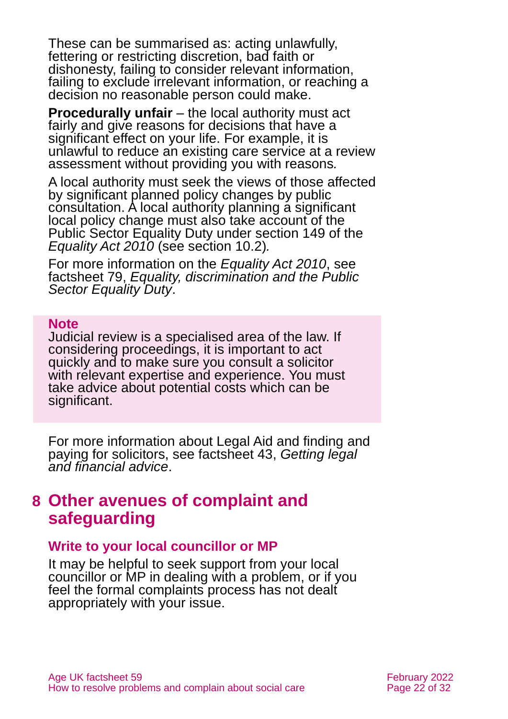These can be summarised as: acting unlawfully, fettering or restricting discretion, bad faith or dishonesty, failing to consider relevant information, failing to exclude irrelevant information, or reaching a decision no reasonable person could make.

**Procedurally unfair** – the local authority must act fairly and give reasons for decisions that have a significant effect on your life. For example, it is unlawful to reduce an existing care service at a review assessment without providing you with reasons*.* 

A local authority must seek the views of those affected by significant planned policy changes by public consultation. A local authority planning a significant local policy change must also take account of the Public Sector Equality Duty under section 149 of the *[Equality Act 2010](https://www.legislation.gov.uk/ukpga/2010/15/contents)* [\(see section 10.2\)](#page-25-0)*.* 

For more information on the *Equality Act 2010*, see factsheet 79, *[Equality, discrimination and the Public](https://www.ageuk.org.uk/globalassets/age-uk/documents/factsheets/fs79_equality_discrimination_and_the_public_sector_equality_duty_fcs.pdf)  [Sector Equality Duty](https://www.ageuk.org.uk/globalassets/age-uk/documents/factsheets/fs79_equality_discrimination_and_the_public_sector_equality_duty_fcs.pdf)*.

#### **Note**

Judicial review is a specialised area of the law. If considering proceedings, it is important to act quickly and to make sure you consult a solicitor with relevant expertise and experience. You must take advice about potential costs which can be significant.

For more information about Legal Aid and finding and paying for solicitors, see factsheet 43, *[Getting legal](https://www.ageuk.org.uk/globalassets/age-uk/documents/factsheets/fs43-getting-legal-and-financial-advice.pdf)  [and financial advice](https://www.ageuk.org.uk/globalassets/age-uk/documents/factsheets/fs43-getting-legal-and-financial-advice.pdf)*.

### <span id="page-21-0"></span>**8 Other avenues of complaint and safeguarding**

#### **Write to your local councillor or MP**

It may be helpful to seek support from your local councillor or MP in dealing with a problem, or if you feel the formal complaints process has not dealt appropriately with your issue.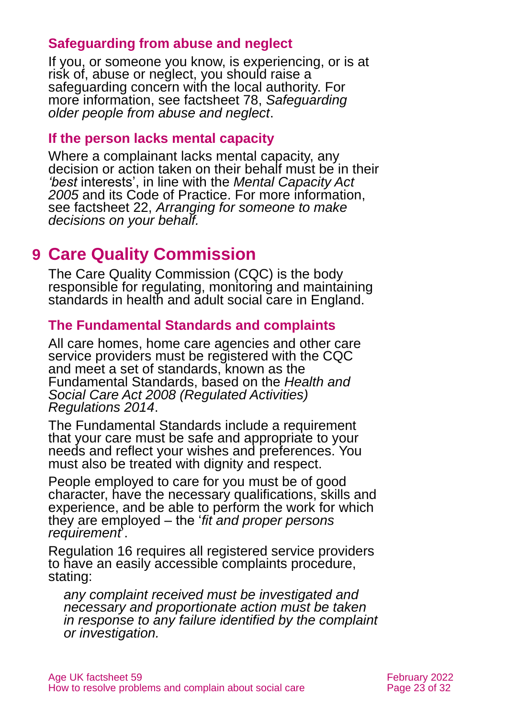#### **Safeguarding from abuse and neglect**

If you, or someone you know, is experiencing, or is at risk of, abuse or neglect, you should raise a safeguarding concern with the local authority. For more information, see factsheet 78, *[Safeguarding](https://www.ageuk.org.uk/globalassets/age-uk/documents/factsheets/fs78_safeguarding_older_people_from_abuse_fcs.pdf)  [older people from abuse and neglect](https://www.ageuk.org.uk/globalassets/age-uk/documents/factsheets/fs78_safeguarding_older_people_from_abuse_fcs.pdf)*.

#### **If the person lacks mental capacity**

Where a complainant lacks mental capacity, any decision or action taken on their behalf must be in their *'best* interests', in line with the *Mental Capacity Act 2005* and its [Code of Practice.](https://www.gov.uk/government/publications/mental-capacity-act-code-of-practice) For more information, see factsheet 22, *[Arranging for someone to make](https://www.ageuk.org.uk/globalassets/age-uk/documents/factsheets/fs22_arranging_for_someone_to_make_decisions_on_your_behalf_fcs.pdf)  [decisions on your behalf.](https://www.ageuk.org.uk/globalassets/age-uk/documents/factsheets/fs22_arranging_for_someone_to_make_decisions_on_your_behalf_fcs.pdf)*

### <span id="page-22-0"></span>**9 Care Quality Commission**

The Care Quality Commission (CQC) is the body responsible for regulating, monitoring and maintaining standards in health and adult social care in England.

#### **The Fundamental Standards and complaints**

All care homes, home care agencies and other care service providers must be registered with the CQC and meet a set of standards, known as the Fundamental Standards, based on the *[Health and](https://www.legislation.gov.uk/uksi/2014/2936/contents/made)  [Social Care Act 2008 \(Regulated Activities\)](https://www.legislation.gov.uk/uksi/2014/2936/contents/made)  [Regulations 2014](https://www.legislation.gov.uk/uksi/2014/2936/contents/made)*.

The Fundamental Standards include a requirement that your care must be safe and appropriate to your needs and reflect your wishes and preferences. You must also be treated with dignity and respect.

People employed to care for you must be of good character, have the necessary qualifications, skills and experience, and be able to perform the work for which they are employed – the '*fit and proper persons requirement*'.

Regulation 16 requires all registered service providers to have an easily accessible complaints procedure, stating:

*any complaint received must be investigated and necessary and proportionate action must be taken in response to any failure identified by the complaint or investigation.*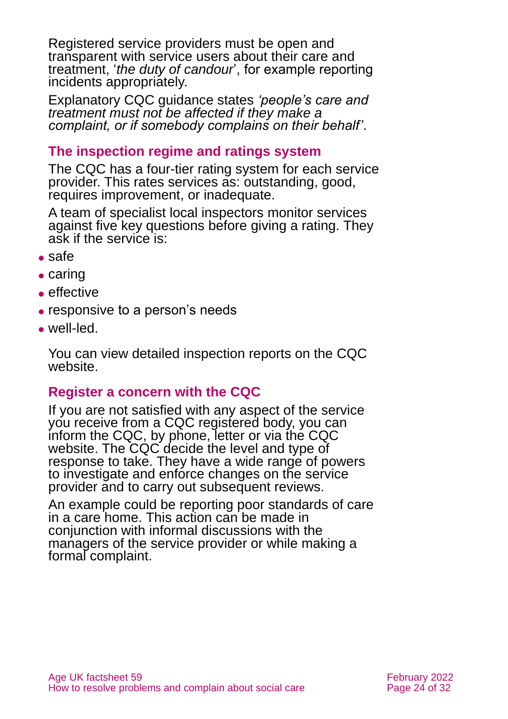Registered service providers must be open and transparent with service users about their care and treatment, '*the duty of candour*', for example reporting incidents appropriately.

Explanatory CQC guidance states *'people's care and treatment must not be affected if they make a complaint, or if somebody complains on their behalf'*.

#### **The inspection regime and ratings system**

The CQC has a four-tier rating system for each service provider. This rates services as: outstanding, good, requires improvement, or inadequate.

A team of specialist local inspectors monitor services against five key questions before giving a rating. They ask if the service is:

- ⚫ safe
- caring
- effective
- responsive to a person's needs
- ⚫ well-led.

You can view detailed inspection reports on the CQC website.

#### **Register a concern with the CQC**

If you are not satisfied with any aspect of the service you receive from a CQC registered body, you can inform the CQC, by phone, letter or via the CQC website. The CQC decide the level and type of response to take. They have a wide range of powers to investigate and enforce changes on the service provider and to carry out subsequent reviews.

An example could be reporting poor standards of care in a care home. This action can be made in conjunction with informal discussions with the managers of the service provider or while making a formal complaint.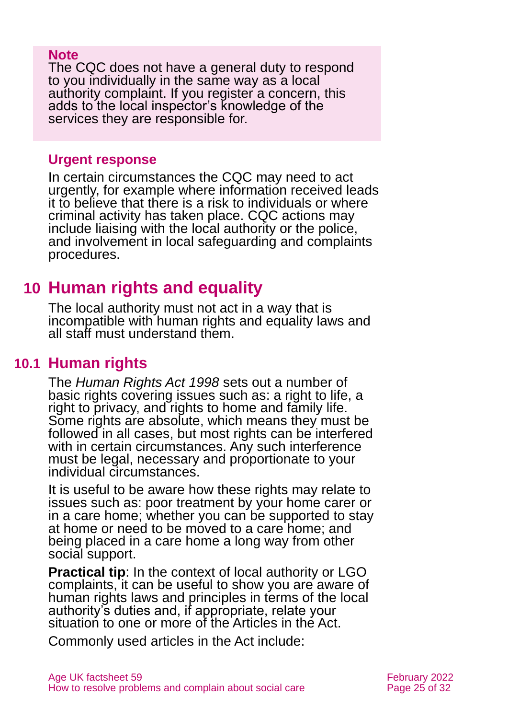#### **Note**

The CQC does not have a general duty to respond to you individually in the same way as a local authority complaint. If you register a concern, this adds to the local inspector's knowledge of the services they are responsible for.

#### **Urgent response**

In certain circumstances the CQC may need to act urgently, for example where information received leads it to believe that there is a risk to individuals or where criminal activity has taken place. CQC actions may include liaising with the local authority or the police, and involvement in local safeguarding and complaints procedures.

### <span id="page-24-0"></span>**10 Human rights and equality**

The local authority must not act in a way that is incompatible with human rights and equality laws and all staff must understand them.

### **10.1 Human rights**

The *[Human Rights Act 1998](http://www.legislation.gov.uk/ukpga/1998/42/contents)* sets out a number of basic rights covering issues such as: a right to life, a right to privacy, and rights to home and family life. Some rights are absolute, which means they must be followed in all cases, but most rights can be interfered with in certain circumstances. Any such interference must be legal, necessary and proportionate to your individual circumstances.

It is useful to be aware how these rights may relate to issues such as: poor treatment by your home carer or in a care home; whether you can be supported to stay at home or need to be moved to a care home; and being placed in a care home a long way from other social support.

**Practical tip**: In the context of local authority or LGO complaints, it can be useful to show you are aware of human rights laws and principles in terms of the local authority's duties and, if appropriate, relate your situation to one or more of the Articles in the Act.

Commonly used articles in the Act include: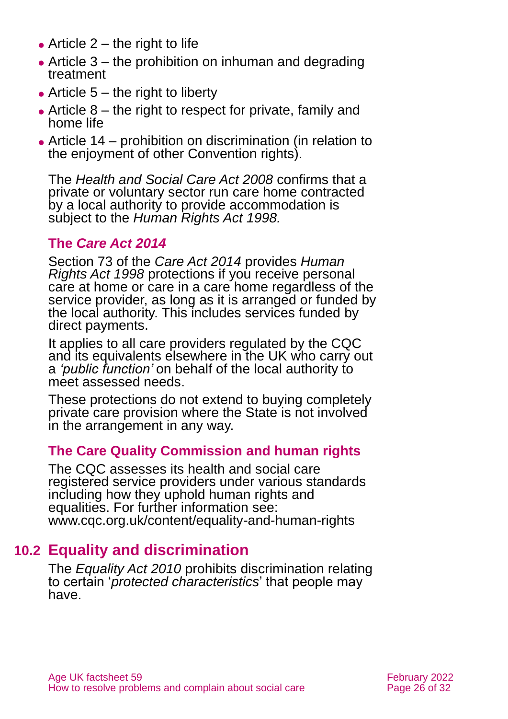- $\bullet$  Article 2 the right to life
- Article  $3$  the prohibition on inhuman and degrading treatment
- $\bullet$  Article 5 the right to liberty
- $\bullet$  Article 8 the right to respect for private, family and home life
- ⚫ Article 14 prohibition on discrimination (in relation to the enjoyment of other Convention rights).

The *[Health and Social Care Act 2008](http://www.legislation.gov.uk/ukpga/2008/14/contents)* confirms that a private or voluntary sector run care home contracted by a local authority to provide accommodation is subject to the *Human Rights Act 1998.*

#### **The** *Care Act 2014*

Section 73 of the *Care Act 2014* provides *Human Rights Act 1998* protections if you receive personal care at home or care in a care home regardless of the service provider, as long as it is arranged or funded by the local authority. This includes services funded by direct payments.

It applies to all care providers regulated by the CQC and its equivalents elsewhere in the UK who carry out a *'public function'* on behalf of the local authority to meet assessed needs.

These protections do not extend to buying completely private care provision where the State is not involved in the arrangement in any way.

#### **The Care Quality Commission and human rights**

The CQC assesses its health and social care registered service providers under various standards including how they uphold human rights and equalities. For further information see: [www.cqc.org.uk/content/equality-and-human-rights](http://www.cqc.org.uk/content/equality-and-human-rights)

### **10.2 Equality and discrimination**

<span id="page-25-0"></span>The *[Equality Act 2010](http://www.legislation.gov.uk/ukpga/2010/15/contents)* prohibits discrimination relating to certain '*protected characteristics*' that people may have.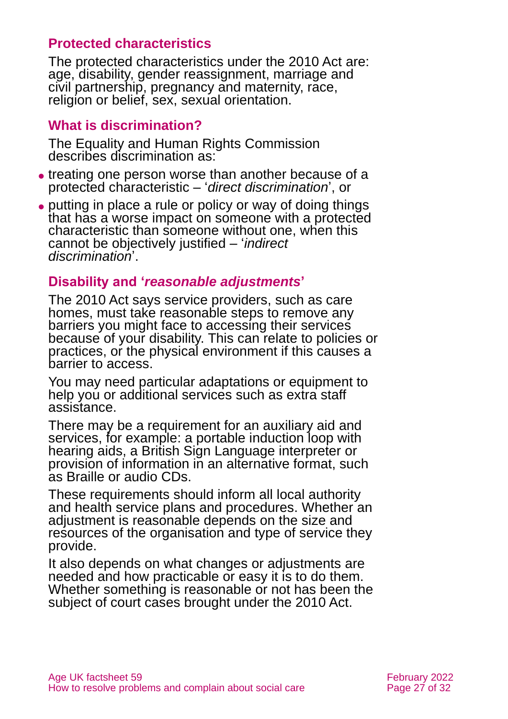#### **Protected characteristics**

The protected characteristics under the 2010 Act are: age, disability, gender reassignment, marriage and civil partnership, pregnancy and maternity, race, religion or belief, sex, sexual orientation.

#### **What is discrimination?**

The Equality and Human Rights Commission describes discrimination as:

- ⚫ treating one person worse than another because of a protected characteristic – '*direct discrimination*', or
- ⚫ putting in place a rule or policy or way of doing things that has a worse impact on someone with a protected characteristic than someone without one, when this cannot be objectively justified – '*indirect discrimination*'.

#### **Disability and '***reasonable adjustments***'**

The 2010 Act says service providers, such as care homes, must take reasonable steps to remove any barriers you might face to accessing their services because of your disability. This can relate to policies or practices, or the physical environment if this causes a barrier to access.

You may need particular adaptations or equipment to help you or additional services such as extra staff assistance.

There may be a requirement for an auxiliary aid and services, for example: a portable induction loop with hearing aids, a British Sign Language interpreter or provision of information in an alternative format, such as Braille or audio CDs.

These requirements should inform all local authority and health service plans and procedures. Whether an adjustment is reasonable depends on the size and resources of the organisation and type of service they provide.

It also depends on what changes or adjustments are needed and how practicable or easy it is to do them. Whether something is reasonable or not has been the subject of court cases brought under the 2010 Act.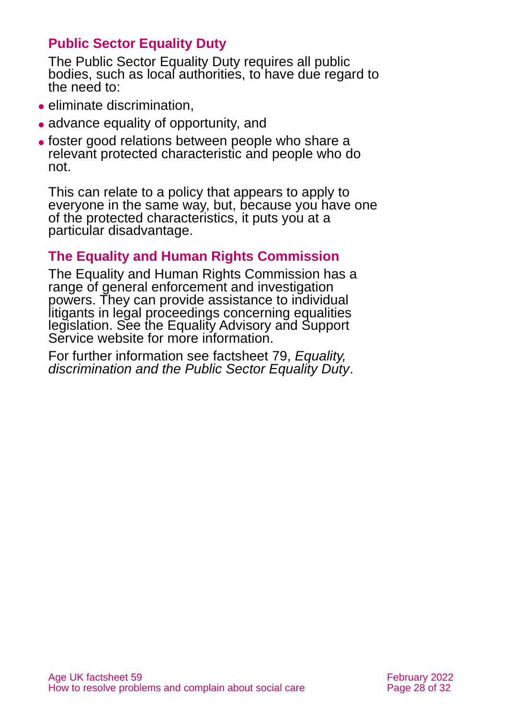#### **Public Sector Equality Duty**

The Public Sector Equality Duty requires all public bodies, such as local authorities, to have due regard to the need to:

- ⚫ eliminate discrimination,
- ⚫ advance equality of opportunity, and
- ⚫ foster good relations between people who share a relevant protected characteristic and people who do not.

This can relate to a policy that appears to apply to everyone in the same way, but, because you have one of the protected characteristics, it puts you at a particular disadvantage.

#### **The Equality and Human Rights Commission**

The Equality and Human Rights Commission has a range of general enforcement and investigation powers. They can provide assistance to individual litigants in legal proceedings concerning equalities legislation. See the Equality Advisory and Support [Service](http://www.equalityadvisoryservice.com/) website for more information.

For further information see factsheet 79, *[Equality,](https://www.ageuk.org.uk/globalassets/age-uk/documents/factsheets/fs79_equality_discrimination_and_the_public_sector_equality_duty_fcs.pdf)  [discrimination and the Public Sector Equality Duty](https://www.ageuk.org.uk/globalassets/age-uk/documents/factsheets/fs79_equality_discrimination_and_the_public_sector_equality_duty_fcs.pdf)*.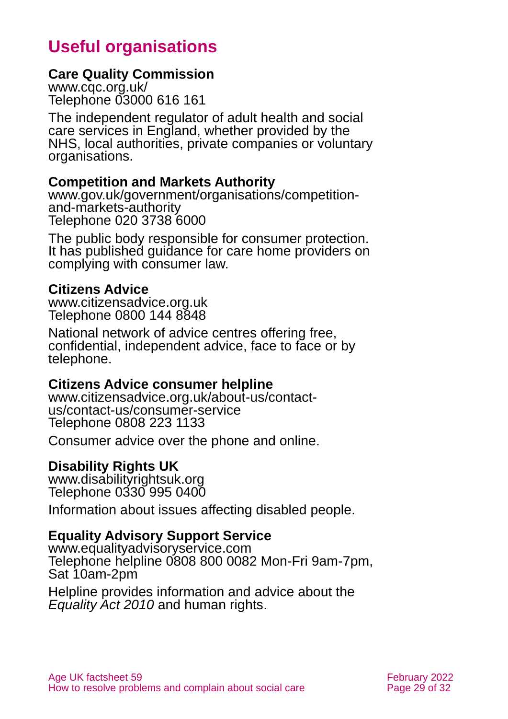### **Useful organisations**

#### <span id="page-28-0"></span>**Care Quality Commission**

[www.cqc.org.uk/](http://www.cqc.org.uk/) Telephone 03000 616 161

The independent regulator of adult health and social care services in England, whether provided by the NHS, local authorities, private companies or voluntary organisations.

#### **Competition and Markets Authority**

[www.gov.uk/government/organisations/competition](http://www.gov.uk/government/organisations/competition-and-markets-authority)[and-markets-authority](http://www.gov.uk/government/organisations/competition-and-markets-authority) Telephone 020 3738 6000

The public body responsible for consumer protection. It has published guidance for care home providers on complying with consumer law.

#### **Citizens Advice**

[www.citizensadvice.org.uk](http://www.citizensadvice.org.uk/) Telephone 0800 144 8848

National network of advice centres offering free, confidential, independent advice, face to face or by telephone.

#### **Citizens Advice consumer helpline**

[www.citizensadvice.org.uk/about-us/contact](http://www.citizensadvice.org.uk/about-us/contact-us/contact-us/consumer-service)[us/contact-us/consumer-service](http://www.citizensadvice.org.uk/about-us/contact-us/contact-us/consumer-service) Telephone 0808 223 1133

Consumer advice over the phone and online.

#### **Disability Rights UK**

[www.disabilityrightsuk.org](http://www.disabilityrightsuk.org/) Telephone 0330 995 0400

Information about issues affecting disabled people.

#### **Equality Advisory Support Service**

[www.equalityadvisoryservice.com](http://www.equalityadvisoryservice.com/) Telephone helpline 0808 800 0082 Mon-Fri 9am-7pm, Sat 10am-2pm

Helpline provides information and advice about the *Equality Act 2010* and human rights.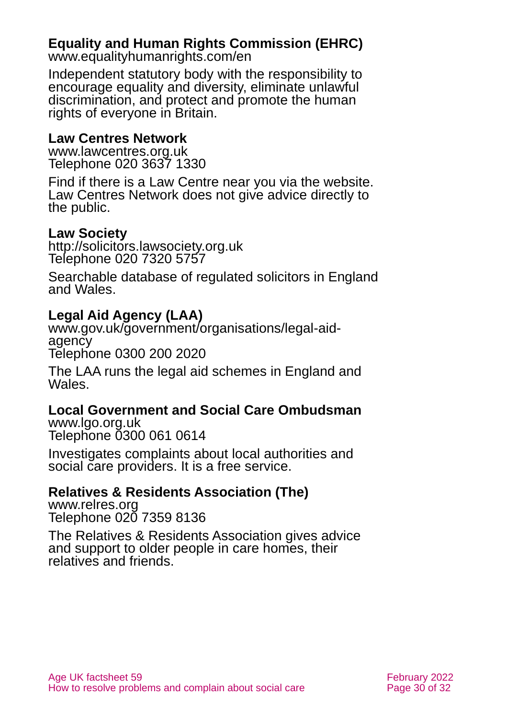#### **Equality and Human Rights Commission (EHRC)**

[www.equalityhumanrights.com/en](http://www.equalityhumanrights.com/en)

Independent statutory body with the responsibility to encourage equality and diversity, eliminate unlawful discrimination, and protect and promote the human rights of everyone in Britain.

#### **Law Centres Network**

[www.lawcentres.org.uk](http://www.lawcentres.org.uk/) Telephone 020 3637 1330

Find if there is a Law Centre near you via the website. Law Centres Network does not give advice directly to the public.

#### **Law Society**

[http://solicitors.lawsociety.org.uk](http://solicitors.lawsociety.org.uk/) Telephone 020 7320 5757

Searchable database of regulated solicitors in England and Wales.

#### **Legal Aid Agency (LAA)**

[www.gov.uk/government/organisations/legal-aid](http://www.gov.uk/government/organisations/legal-aid-agency)[agency](http://www.gov.uk/government/organisations/legal-aid-agency) Tělephone 0300 200 2020

The LAA runs the legal aid schemes in England and Wales.

#### **Local Government and Social Care Ombudsman**

[www.lgo.org.uk](http://www.lgo.org.uk/) Telephone 0300 061 0614

Investigates complaints about local authorities and social care providers. It is a free service.

#### **Relatives & Residents Association (The)**

[www.relres.org](http://www.relres.org/) Telephone 020 7359 8136

The Relatives & Residents Association gives advice and support to older people in care homes, their relatives and friends.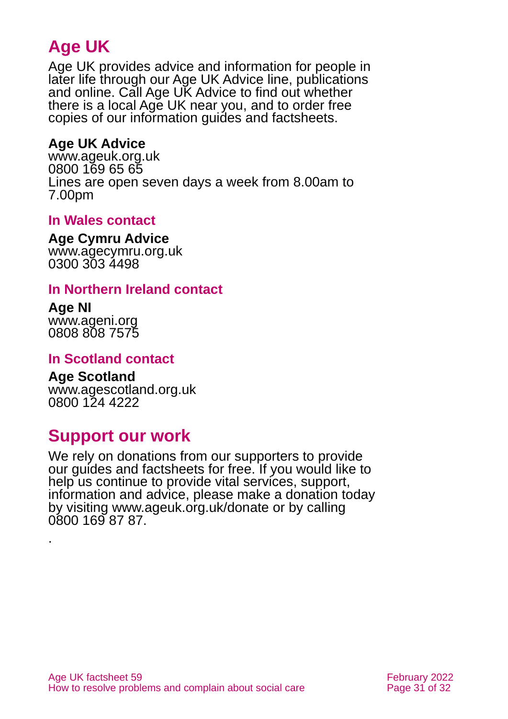### **Age UK**

Age UK provides advice and information for people in later life through our Age UK Advice line, publications and online. Call Age UK Advice to find out whether there is a local Age UK near you, and to order free copies of our information guides and factsheets.

#### <span id="page-30-1"></span>**Age UK Advice**

[www.ageuk.org.uk](http://www.ageuk.org.uk/) 0800 169 65 65 Lines are open seven days a week from 8.00am to 7.00pm

#### <span id="page-30-0"></span>**In Wales contact**

#### **Age Cymru Advice**

[www.agecymru.org.uk](http://www.agecymru.org.uk/) 0300 303 4498

#### **In Northern Ireland contact**

## **Age NI**

.

[www.ageni.org](http://www.ageni.org/) 0808 808 7575

#### **In Scotland contact**

#### <span id="page-30-2"></span>**Age Scotland**

[www.agescotland.org.uk](http://www.agescotland.org.uk/) 0800 124 4222

### **Support our work**

We rely on donations from our supporters to provide our guides and factsheets for free. If you would like to help us continue to provide vital services, support, information and advice, please make a donation today by visiting [www.ageuk.org.uk/donate](http://www.ageuk.org.uk/donate) or by calling 0800 169 87 87.